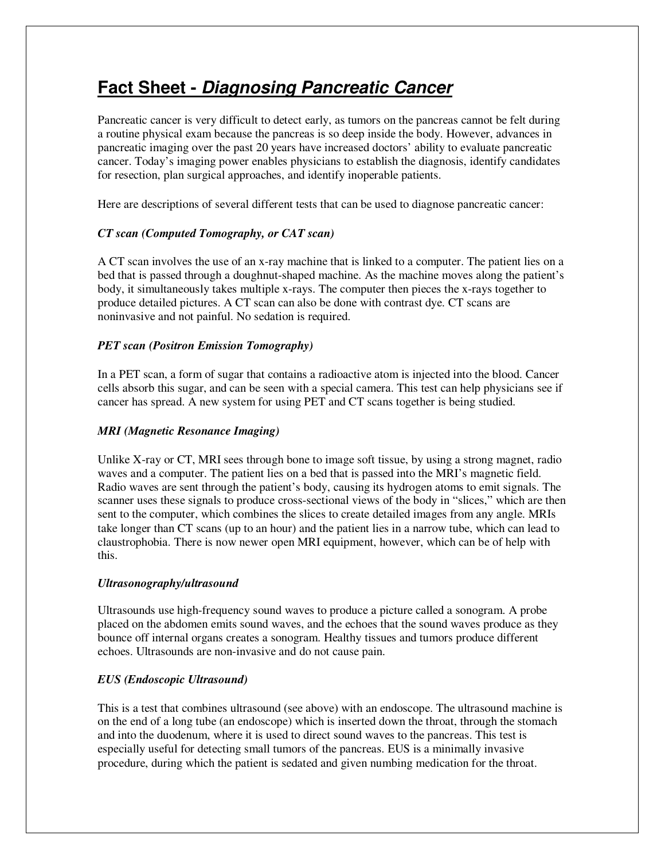# **Fact Sheet - Diagnosing Pancreatic Cancer**

Pancreatic cancer is very difficult to detect early, as tumors on the pancreas cannot be felt during a routine physical exam because the pancreas is so deep inside the body. However, advances in pancreatic imaging over the past 20 years have increased doctors' ability to evaluate pancreatic cancer. Today's imaging power enables physicians to establish the diagnosis, identify candidates for resection, plan surgical approaches, and identify inoperable patients.

Here are descriptions of several different tests that can be used to diagnose pancreatic cancer:

# *CT scan (Computed Tomography, or CAT scan)*

A CT scan involves the use of an x-ray machine that is linked to a computer. The patient lies on a bed that is passed through a doughnut-shaped machine. As the machine moves along the patient's body, it simultaneously takes multiple x-rays. The computer then pieces the x-rays together to produce detailed pictures. A CT scan can also be done with contrast dye. CT scans are noninvasive and not painful. No sedation is required.

## *PET scan (Positron Emission Tomography)*

In a PET scan, a form of sugar that contains a radioactive atom is injected into the blood. Cancer cells absorb this sugar, and can be seen with a special camera. This test can help physicians see if cancer has spread. A new system for using PET and CT scans together is being studied.

## *MRI (Magnetic Resonance Imaging)*

Unlike X-ray or CT, MRI sees through bone to image soft tissue, by using a strong magnet, radio waves and a computer. The patient lies on a bed that is passed into the MRI's magnetic field. Radio waves are sent through the patient's body, causing its hydrogen atoms to emit signals. The scanner uses these signals to produce cross-sectional views of the body in "slices," which are then sent to the computer, which combines the slices to create detailed images from any angle. MRIs take longer than CT scans (up to an hour) and the patient lies in a narrow tube, which can lead to claustrophobia. There is now newer open MRI equipment, however, which can be of help with this.

## *Ultrasonography/ultrasound*

Ultrasounds use high-frequency sound waves to produce a picture called a sonogram. A probe placed on the abdomen emits sound waves, and the echoes that the sound waves produce as they bounce off internal organs creates a sonogram. Healthy tissues and tumors produce different echoes. Ultrasounds are non-invasive and do not cause pain.

## *EUS (Endoscopic Ultrasound)*

This is a test that combines ultrasound (see above) with an endoscope. The ultrasound machine is on the end of a long tube (an endoscope) which is inserted down the throat, through the stomach and into the duodenum, where it is used to direct sound waves to the pancreas. This test is especially useful for detecting small tumors of the pancreas. EUS is a minimally invasive procedure, during which the patient is sedated and given numbing medication for the throat.